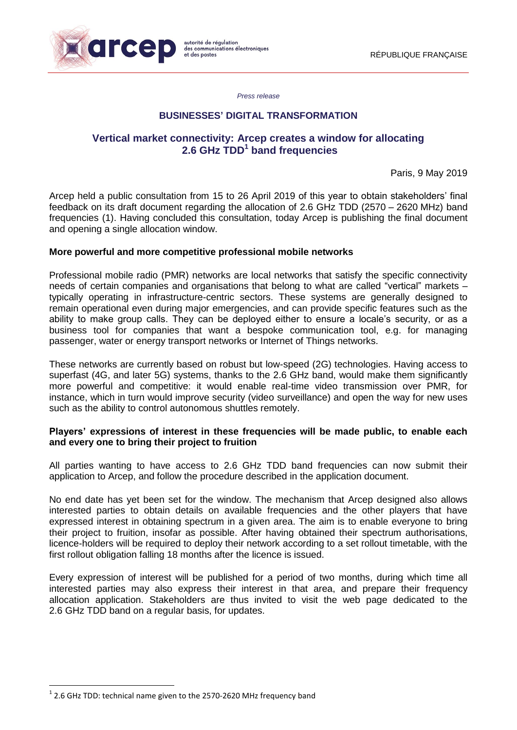

*Press release*

### **BUSINESSES' DIGITAL TRANSFORMATION**

# **Vertical market connectivity: Arcep creates a window for allocating 2.6 GHz TDD<sup>1</sup> band frequencies**

Paris, 9 May 2019

Arcep held a public consultation from 15 to 26 April 2019 of this year to obtain stakeholders' final feedback on its draft document regarding the allocation of 2.6 GHz TDD (2570 – 2620 MHz) band frequencies (1). Having concluded this consultation, today Arcep is publishing the final document and opening a single allocation window.

#### **More powerful and more competitive professional mobile networks**

Professional mobile radio (PMR) networks are local networks that satisfy the specific connectivity needs of certain companies and organisations that belong to what are called "vertical" markets – typically operating in infrastructure-centric sectors. These systems are generally designed to remain operational even during major emergencies, and can provide specific features such as the ability to make group calls. They can be deployed either to ensure a locale's security, or as a business tool for companies that want a bespoke communication tool, e.g. for managing passenger, water or energy transport networks or Internet of Things networks.

These networks are currently based on robust but low-speed (2G) technologies. Having access to superfast (4G, and later 5G) systems, thanks to the 2.6 GHz band, would make them significantly more powerful and competitive: it would enable real-time video transmission over PMR, for instance, which in turn would improve security (video surveillance) and open the way for new uses such as the ability to control autonomous shuttles remotely.

#### **Players' expressions of interest in these frequencies will be made public, to enable each and every one to bring their project to fruition**

All parties wanting to have access to 2.6 GHz TDD band frequencies can now submit their application to Arcep, and follow the procedure described in the application document.

No end date has yet been set for the window. The mechanism that Arcep designed also allows interested parties to obtain details on available frequencies and the other players that have expressed interest in obtaining spectrum in a given area. The aim is to enable everyone to bring their project to fruition, insofar as possible. After having obtained their spectrum authorisations, licence-holders will be required to deploy their network according to a set rollout timetable, with the first rollout obligation falling 18 months after the licence is issued.

Every expression of interest will be published for a period of two months, during which time all interested parties may also express their interest in that area, and prepare their frequency allocation application. Stakeholders are thus invited to visit the web page dedicated to the 2.6 GHz TDD band on a regular basis, for updates.

**.** 

 $^{1}$  2.6 GHz TDD: technical name given to the 2570-2620 MHz frequency band